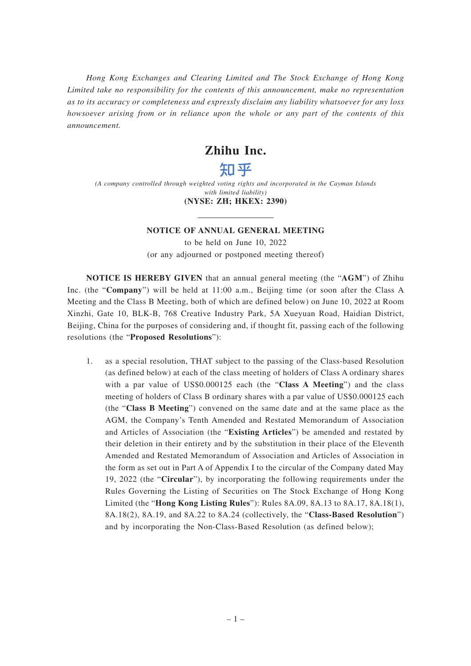*Hong Kong Exchanges and Clearing Limited and The Stock Exchange of Hong Kong Limited take no responsibility for the contents of this announcement, make no representation as to its accuracy or completeness and expressly disclaim any liability whatsoever for any loss howsoever arising from or in reliance upon the whole or any part of the contents of this announcement.*

# **Zhihu Inc.**

# 知平

*(A company controlled through weighted voting rights and incorporated in the Cayman Islands with limited liability)* **(NYSE: ZH; HKEX: 2390)**

## **NOTICE OF ANNUAL GENERAL MEETING**

to be held on June 10, 2022 (or any adjourned or postponed meeting thereof)

**NOTICE IS HEREBY GIVEN** that an annual general meeting (the "**AGM**") of Zhihu Inc. (the "**Company**") will be held at 11:00 a.m., Beijing time (or soon after the Class A Meeting and the Class B Meeting, both of which are defined below) on June 10, 2022 at Room Xinzhi, Gate 10, BLK-B, 768 Creative Industry Park, 5A Xueyuan Road, Haidian District, Beijing, China for the purposes of considering and, if thought fit, passing each of the following resolutions (the "**Proposed Resolutions**"):

1. as a special resolution, THAT subject to the passing of the Class-based Resolution (as defined below) at each of the class meeting of holders of Class A ordinary shares with a par value of US\$0.000125 each (the "**Class A Meeting**") and the class meeting of holders of Class B ordinary shares with a par value of US\$0.000125 each (the "**Class B Meeting**") convened on the same date and at the same place as the AGM, the Company's Tenth Amended and Restated Memorandum of Association and Articles of Association (the "**Existing Articles**") be amended and restated by their deletion in their entirety and by the substitution in their place of the Eleventh Amended and Restated Memorandum of Association and Articles of Association in the form as set out in Part A of Appendix I to the circular of the Company dated May 19, 2022 (the "**Circular**"), by incorporating the following requirements under the Rules Governing the Listing of Securities on The Stock Exchange of Hong Kong Limited (the "**Hong Kong Listing Rules**"): Rules 8A.09, 8A.13 to 8A.17, 8A.18(1), 8A.18(2), 8A.19, and 8A.22 to 8A.24 (collectively, the "**Class-Based Resolution**") and by incorporating the Non-Class-Based Resolution (as defined below);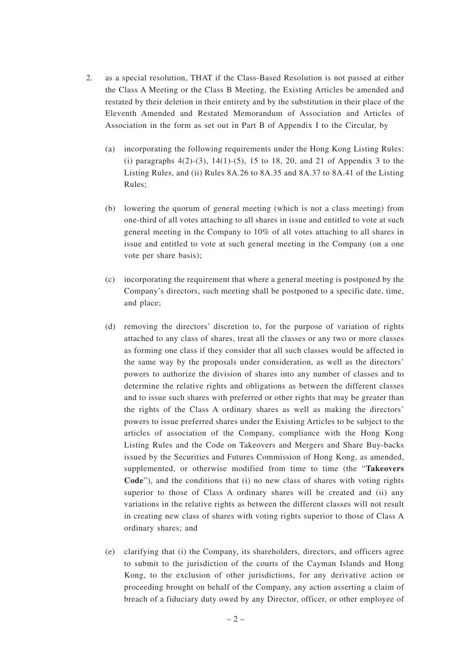- 2. as a special resolution, THAT if the Class-Based Resolution is not passed at either the Class A Meeting or the Class B Meeting, the Existing Articles be amended and restated by their deletion in their entirety and by the substitution in their place of the Eleventh Amended and Restated Memorandum of Association and Articles of Association in the form as set out in Part B of Appendix I to the Circular, by
	- (a) incorporating the following requirements under the Hong Kong Listing Rules: (i) paragraphs  $4(2)-(3)$ ,  $14(1)-(5)$ ,  $15$  to  $18$ ,  $20$ , and  $21$  of Appendix 3 to the Listing Rules, and (ii) Rules 8A.26 to 8A.35 and 8A.37 to 8A.41 of the Listing Rules;
	- (b) lowering the quorum of general meeting (which is not a class meeting) from one-third of all votes attaching to all shares in issue and entitled to vote at such general meeting in the Company to 10% of all votes attaching to all shares in issue and entitled to vote at such general meeting in the Company (on a one vote per share basis);
	- (c) incorporating the requirement that where a general meeting is postponed by the Company's directors, such meeting shall be postponed to a specific date, time, and place;
	- (d) removing the directors' discretion to, for the purpose of variation of rights attached to any class of shares, treat all the classes or any two or more classes as forming one class if they consider that all such classes would be affected in the same way by the proposals under consideration, as well as the directors' powers to authorize the division of shares into any number of classes and to determine the relative rights and obligations as between the different classes and to issue such shares with preferred or other rights that may be greater than the rights of the Class A ordinary shares as well as making the directors' powers to issue preferred shares under the Existing Articles to be subject to the articles of association of the Company, compliance with the Hong Kong Listing Rules and the Code on Takeovers and Mergers and Share Buy-backs issued by the Securities and Futures Commission of Hong Kong, as amended, supplemented, or otherwise modified from time to time (the "**Takeovers Code**"), and the conditions that (i) no new class of shares with voting rights superior to those of Class A ordinary shares will be created and (ii) any variations in the relative rights as between the different classes will not result in creating new class of shares with voting rights superior to those of Class A ordinary shares; and
	- (e) clarifying that (i) the Company, its shareholders, directors, and officers agree to submit to the jurisdiction of the courts of the Cayman Islands and Hong Kong, to the exclusion of other jurisdictions, for any derivative action or proceeding brought on behalf of the Company, any action asserting a claim of breach of a fiduciary duty owed by any Director, officer, or other employee of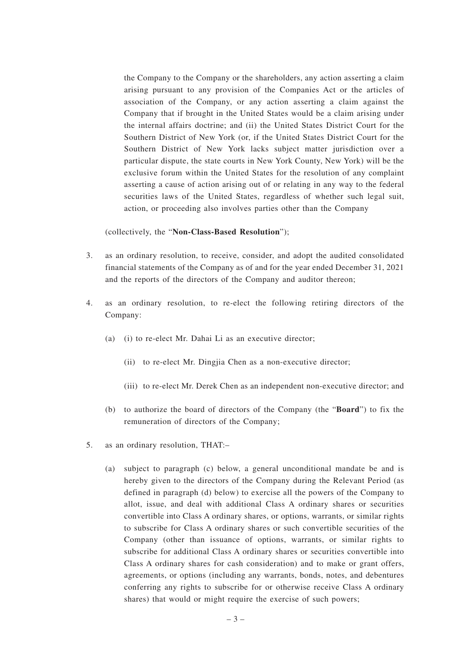the Company to the Company or the shareholders, any action asserting a claim arising pursuant to any provision of the Companies Act or the articles of association of the Company, or any action asserting a claim against the Company that if brought in the United States would be a claim arising under the internal affairs doctrine; and (ii) the United States District Court for the Southern District of New York (or, if the United States District Court for the Southern District of New York lacks subject matter jurisdiction over a particular dispute, the state courts in New York County, New York) will be the exclusive forum within the United States for the resolution of any complaint asserting a cause of action arising out of or relating in any way to the federal securities laws of the United States, regardless of whether such legal suit, action, or proceeding also involves parties other than the Company

#### (collectively, the "**Non-Class-Based Resolution**");

- 3. as an ordinary resolution, to receive, consider, and adopt the audited consolidated financial statements of the Company as of and for the year ended December 31, 2021 and the reports of the directors of the Company and auditor thereon;
- 4. as an ordinary resolution, to re-elect the following retiring directors of the Company:
	- (a) (i) to re-elect Mr. Dahai Li as an executive director;
		- (ii) to re-elect Mr. Dingjia Chen as a non-executive director;
		- (iii) to re-elect Mr. Derek Chen as an independent non-executive director; and
	- (b) to authorize the board of directors of the Company (the "**Board**") to fix the remuneration of directors of the Company;
- 5. as an ordinary resolution, THAT:–
	- (a) subject to paragraph (c) below, a general unconditional mandate be and is hereby given to the directors of the Company during the Relevant Period (as defined in paragraph (d) below) to exercise all the powers of the Company to allot, issue, and deal with additional Class A ordinary shares or securities convertible into Class A ordinary shares, or options, warrants, or similar rights to subscribe for Class A ordinary shares or such convertible securities of the Company (other than issuance of options, warrants, or similar rights to subscribe for additional Class A ordinary shares or securities convertible into Class A ordinary shares for cash consideration) and to make or grant offers, agreements, or options (including any warrants, bonds, notes, and debentures conferring any rights to subscribe for or otherwise receive Class A ordinary shares) that would or might require the exercise of such powers;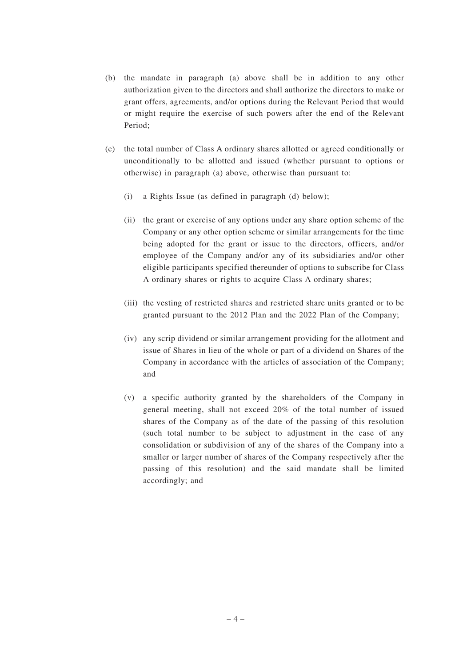- (b) the mandate in paragraph (a) above shall be in addition to any other authorization given to the directors and shall authorize the directors to make or grant offers, agreements, and/or options during the Relevant Period that would or might require the exercise of such powers after the end of the Relevant Period;
- (c) the total number of Class A ordinary shares allotted or agreed conditionally or unconditionally to be allotted and issued (whether pursuant to options or otherwise) in paragraph (a) above, otherwise than pursuant to:
	- (i) a Rights Issue (as defined in paragraph (d) below);
	- (ii) the grant or exercise of any options under any share option scheme of the Company or any other option scheme or similar arrangements for the time being adopted for the grant or issue to the directors, officers, and/or employee of the Company and/or any of its subsidiaries and/or other eligible participants specified thereunder of options to subscribe for Class A ordinary shares or rights to acquire Class A ordinary shares;
	- (iii) the vesting of restricted shares and restricted share units granted or to be granted pursuant to the 2012 Plan and the 2022 Plan of the Company;
	- (iv) any scrip dividend or similar arrangement providing for the allotment and issue of Shares in lieu of the whole or part of a dividend on Shares of the Company in accordance with the articles of association of the Company; and
	- (v) a specific authority granted by the shareholders of the Company in general meeting, shall not exceed 20% of the total number of issued shares of the Company as of the date of the passing of this resolution (such total number to be subject to adjustment in the case of any consolidation or subdivision of any of the shares of the Company into a smaller or larger number of shares of the Company respectively after the passing of this resolution) and the said mandate shall be limited accordingly; and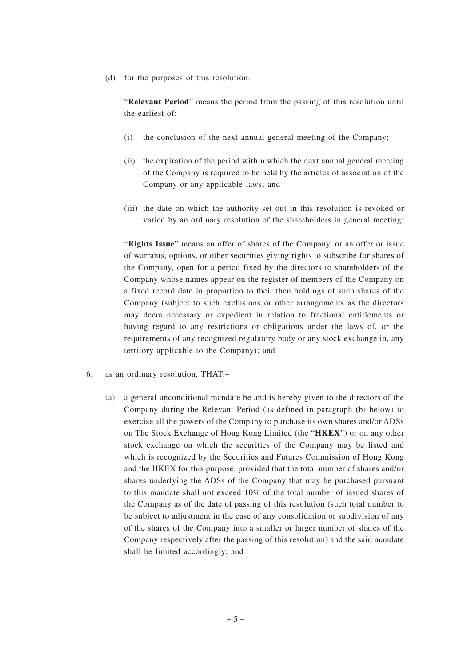(d) for the purposes of this resolution:

"**Relevant Period**" means the period from the passing of this resolution until the earliest of:

- (i) the conclusion of the next annual general meeting of the Company;
- (ii) the expiration of the period within which the next annual general meeting of the Company is required to be held by the articles of association of the Company or any applicable laws; and
- (iii) the date on which the authority set out in this resolution is revoked or varied by an ordinary resolution of the shareholders in general meeting;

"**Rights Issue**" means an offer of shares of the Company, or an offer or issue of warrants, options, or other securities giving rights to subscribe for shares of the Company, open for a period fixed by the directors to shareholders of the Company whose names appear on the register of members of the Company on a fixed record date in proportion to their then holdings of such shares of the Company (subject to such exclusions or other arrangements as the directors may deem necessary or expedient in relation to fractional entitlements or having regard to any restrictions or obligations under the laws of, or the requirements of any recognized regulatory body or any stock exchange in, any territory applicable to the Company); and

- 6. as an ordinary resolution, THAT:–
	- (a) a general unconditional mandate be and is hereby given to the directors of the Company during the Relevant Period (as defined in paragraph (b) below) to exercise all the powers of the Company to purchase its own shares and/or ADSs on The Stock Exchange of Hong Kong Limited (the "**HKEX**") or on any other stock exchange on which the securities of the Company may be listed and which is recognized by the Securities and Futures Commission of Hong Kong and the HKEX for this purpose, provided that the total number of shares and/or shares underlying the ADSs of the Company that may be purchased pursuant to this mandate shall not exceed 10% of the total number of issued shares of the Company as of the date of passing of this resolution (such total number to be subject to adjustment in the case of any consolidation or subdivision of any of the shares of the Company into a smaller or larger number of shares of the Company respectively after the passing of this resolution) and the said mandate shall be limited accordingly; and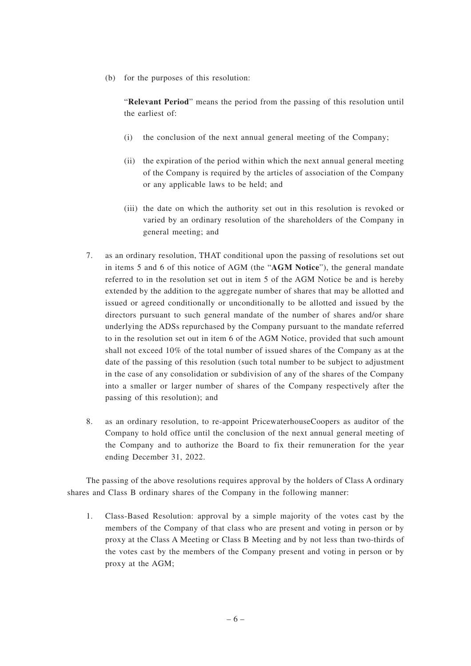(b) for the purposes of this resolution:

"**Relevant Period**" means the period from the passing of this resolution until the earliest of:

- (i) the conclusion of the next annual general meeting of the Company;
- (ii) the expiration of the period within which the next annual general meeting of the Company is required by the articles of association of the Company or any applicable laws to be held; and
- (iii) the date on which the authority set out in this resolution is revoked or varied by an ordinary resolution of the shareholders of the Company in general meeting; and
- 7. as an ordinary resolution, THAT conditional upon the passing of resolutions set out in items 5 and 6 of this notice of AGM (the "**AGM Notice**"), the general mandate referred to in the resolution set out in item 5 of the AGM Notice be and is hereby extended by the addition to the aggregate number of shares that may be allotted and issued or agreed conditionally or unconditionally to be allotted and issued by the directors pursuant to such general mandate of the number of shares and/or share underlying the ADSs repurchased by the Company pursuant to the mandate referred to in the resolution set out in item 6 of the AGM Notice, provided that such amount shall not exceed 10% of the total number of issued shares of the Company as at the date of the passing of this resolution (such total number to be subject to adjustment in the case of any consolidation or subdivision of any of the shares of the Company into a smaller or larger number of shares of the Company respectively after the passing of this resolution); and
- 8. as an ordinary resolution, to re-appoint PricewaterhouseCoopers as auditor of the Company to hold office until the conclusion of the next annual general meeting of the Company and to authorize the Board to fix their remuneration for the year ending December 31, 2022.

The passing of the above resolutions requires approval by the holders of Class A ordinary shares and Class B ordinary shares of the Company in the following manner:

1. Class-Based Resolution: approval by a simple majority of the votes cast by the members of the Company of that class who are present and voting in person or by proxy at the Class A Meeting or Class B Meeting and by not less than two-thirds of the votes cast by the members of the Company present and voting in person or by proxy at the AGM;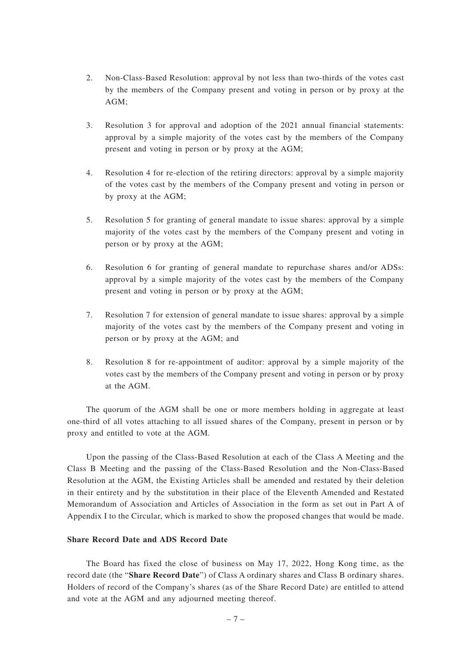- 2. Non-Class-Based Resolution: approval by not less than two-thirds of the votes cast by the members of the Company present and voting in person or by proxy at the AGM;
- 3. Resolution 3 for approval and adoption of the 2021 annual financial statements: approval by a simple majority of the votes cast by the members of the Company present and voting in person or by proxy at the AGM;
- 4. Resolution 4 for re-election of the retiring directors: approval by a simple majority of the votes cast by the members of the Company present and voting in person or by proxy at the AGM;
- 5. Resolution 5 for granting of general mandate to issue shares: approval by a simple majority of the votes cast by the members of the Company present and voting in person or by proxy at the AGM;
- 6. Resolution 6 for granting of general mandate to repurchase shares and/or ADSs: approval by a simple majority of the votes cast by the members of the Company present and voting in person or by proxy at the AGM;
- 7. Resolution 7 for extension of general mandate to issue shares: approval by a simple majority of the votes cast by the members of the Company present and voting in person or by proxy at the AGM; and
- 8. Resolution 8 for re-appointment of auditor: approval by a simple majority of the votes cast by the members of the Company present and voting in person or by proxy at the AGM.

The quorum of the AGM shall be one or more members holding in aggregate at least one-third of all votes attaching to all issued shares of the Company, present in person or by proxy and entitled to vote at the AGM.

Upon the passing of the Class-Based Resolution at each of the Class A Meeting and the Class B Meeting and the passing of the Class-Based Resolution and the Non-Class-Based Resolution at the AGM, the Existing Articles shall be amended and restated by their deletion in their entirety and by the substitution in their place of the Eleventh Amended and Restated Memorandum of Association and Articles of Association in the form as set out in Part A of Appendix I to the Circular, which is marked to show the proposed changes that would be made.

### **Share Record Date and ADS Record Date**

The Board has fixed the close of business on May 17, 2022, Hong Kong time, as the record date (the "**Share Record Date**") of Class A ordinary shares and Class B ordinary shares. Holders of record of the Company's shares (as of the Share Record Date) are entitled to attend and vote at the AGM and any adjourned meeting thereof.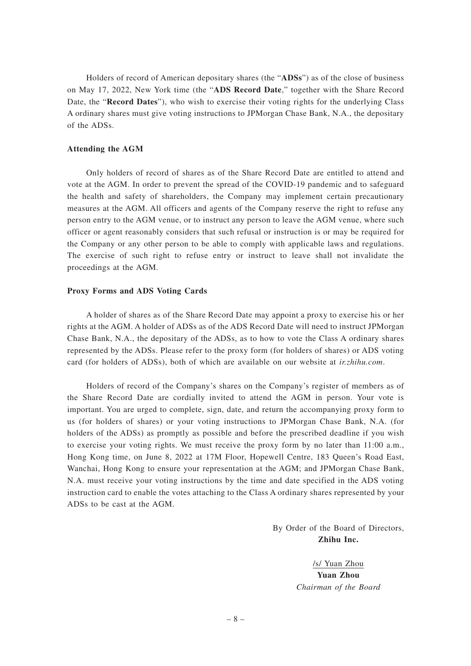Holders of record of American depositary shares (the "**ADSs**") as of the close of business on May 17, 2022, New York time (the "**ADS Record Date**," together with the Share Record Date, the "**Record Dates**"), who wish to exercise their voting rights for the underlying Class A ordinary shares must give voting instructions to JPMorgan Chase Bank, N.A., the depositary of the ADSs.

#### **Attending the AGM**

Only holders of record of shares as of the Share Record Date are entitled to attend and vote at the AGM. In order to prevent the spread of the COVID-19 pandemic and to safeguard the health and safety of shareholders, the Company may implement certain precautionary measures at the AGM. All officers and agents of the Company reserve the right to refuse any person entry to the AGM venue, or to instruct any person to leave the AGM venue, where such officer or agent reasonably considers that such refusal or instruction is or may be required for the Company or any other person to be able to comply with applicable laws and regulations. The exercise of such right to refuse entry or instruct to leave shall not invalidate the proceedings at the AGM.

#### **Proxy Forms and ADS Voting Cards**

A holder of shares as of the Share Record Date may appoint a proxy to exercise his or her rights at the AGM. A holder of ADSs as of the ADS Record Date will need to instruct JPMorgan Chase Bank, N.A., the depositary of the ADSs, as to how to vote the Class A ordinary shares represented by the ADSs. Please refer to the proxy form (for holders of shares) or ADS voting card (for holders of ADSs), both of which are available on our website at *ir.zhihu.com*.

Holders of record of the Company's shares on the Company's register of members as of the Share Record Date are cordially invited to attend the AGM in person. Your vote is important. You are urged to complete, sign, date, and return the accompanying proxy form to us (for holders of shares) or your voting instructions to JPMorgan Chase Bank, N.A. (for holders of the ADSs) as promptly as possible and before the prescribed deadline if you wish to exercise your voting rights. We must receive the proxy form by no later than 11:00 a.m., Hong Kong time, on June 8, 2022 at 17M Floor, Hopewell Centre, 183 Queen's Road East, Wanchai, Hong Kong to ensure your representation at the AGM; and JPMorgan Chase Bank, N.A. must receive your voting instructions by the time and date specified in the ADS voting instruction card to enable the votes attaching to the Class A ordinary shares represented by your ADSs to be cast at the AGM.

> By Order of the Board of Directors, **Zhihu Inc.**

> > /s/ Yuan Zhou **Yuan Zhou** *Chairman of the Board*